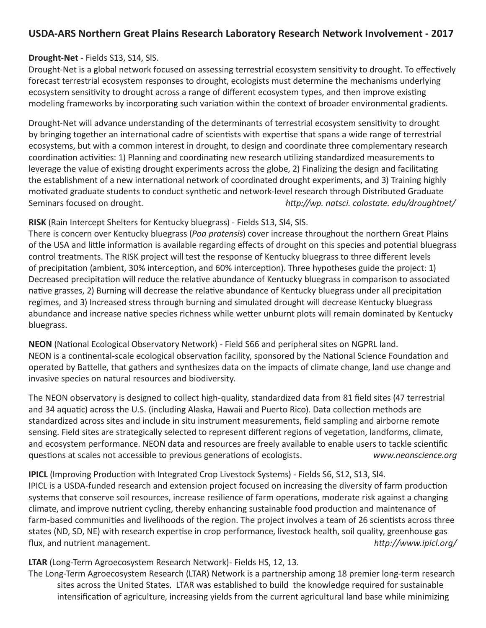# **USDA-ARS Northern Great Plains Research Laboratory Research Network Involvement - 2017**

#### **Drought-Net** - Fields S13, S14, SlS.

Drought-Net is a global network focused on assessing terrestrial ecosystem sensitivity to drought. To effectively forecast terrestrial ecosystem responses to drought, ecologists must determine the mechanisms underlying ecosystem sensitivity to drought across a range of different ecosystem types, and then improve existing modeling frameworks by incorporating such variation within the context of broader environmental gradients.

Drought-Net will advance understanding of the determinants of terrestrial ecosystem sensitivity to drought by bringing together an international cadre of scientists with expertise that spans a wide range of terrestrial ecosystems, but with a common interest in drought, to design and coordinate three complementary research coordination activities: 1) Planning and coordinating new research utilizing standardized measurements to leverage the value of existing drought experiments across the globe, 2) Finalizing the design and facilitating the establishment of a new international network of coordinated drought experiments, and 3) Training highly motivated graduate students to conduct synthetic and network-level research through Distributed Graduate Seminars focused on drought. *http://wp. natsci. colostate. edu/droughtnet/* 

#### **RISK** (Rain Intercept Shelters for Kentucky bluegrass) - Fields S13, Sl4, SlS.

There is concern over Kentucky bluegrass (*Poa pratensis*) cover increase throughout the northern Great Plains of the USA and little information is available regarding effects of drought on this species and potential bluegrass control treatments. The RISK project will test the response of Kentucky bluegrass to three different levels of precipitation (ambient, 30% interception, and 60% interception). Three hypotheses guide the project: 1) Decreased precipitation will reduce the relative abundance of Kentucky bluegrass in comparison to associated native grasses, 2) Burning will decrease the relative abundance of Kentucky bluegrass under all precipitation regimes, and 3) Increased stress through burning and simulated drought will decrease Kentucky bluegrass abundance and increase native species richness while wetter unburnt plots will remain dominated by Kentucky bluegrass.

**NEON** (National Ecological Observatory Network) - Field S66 and peripheral sites on NGPRL land. NEON is a continental-scale ecological observation facility, sponsored by the National Science Foundation and operated by Battelle, that gathers and synthesizes data on the impacts of climate change, land use change and invasive species on natural resources and biodiversity.

The NEON observatory is designed to collect high-quality, standardized data from 81 field sites (47 terrestrial and 34 aquatic) across the U.S. (including Alaska, Hawaii and Puerto Rico). Data collection methods are standardized across sites and include in situ instrument measurements, field sampling and airborne remote sensing. Field sites are strategically selected to represent different regions of vegetation, landforms, climate, and ecosystem performance. NEON data and resources are freely available to enable users to tackle scientific questions at scales not accessible to previous generations of ecologists. *www.neonscience.org*

**IPICL** (Improving Production with Integrated Crop Livestock Systems) - Fields S6, S12, S13, Sl4. IPICL is a USDA-funded research and extension project focused on increasing the diversity of farm production systems that conserve soil resources, increase resilience of farm operations, moderate risk against a changing climate, and improve nutrient cycling, thereby enhancing sustainable food production and maintenance of farm-based communities and livelihoods of the region. The project involves a team of 26 scientists across three states (ND, SD, NE) with research expertise in crop performance, livestock health, soil quality, greenhouse gas flux, and nutrient management. *http://www.ipicl.org/*

### **LTAR** (Long-Term Agroecosystem Research Network)- Fields HS, 12, 13.

The Long-Term Agroecosystem Research (LTAR) Network is a partnership among 18 premier long-term research sites across the United States. LTAR was established to build the knowledge required for sustainable intensification of agriculture, increasing yields from the current agricultural land base while minimizing